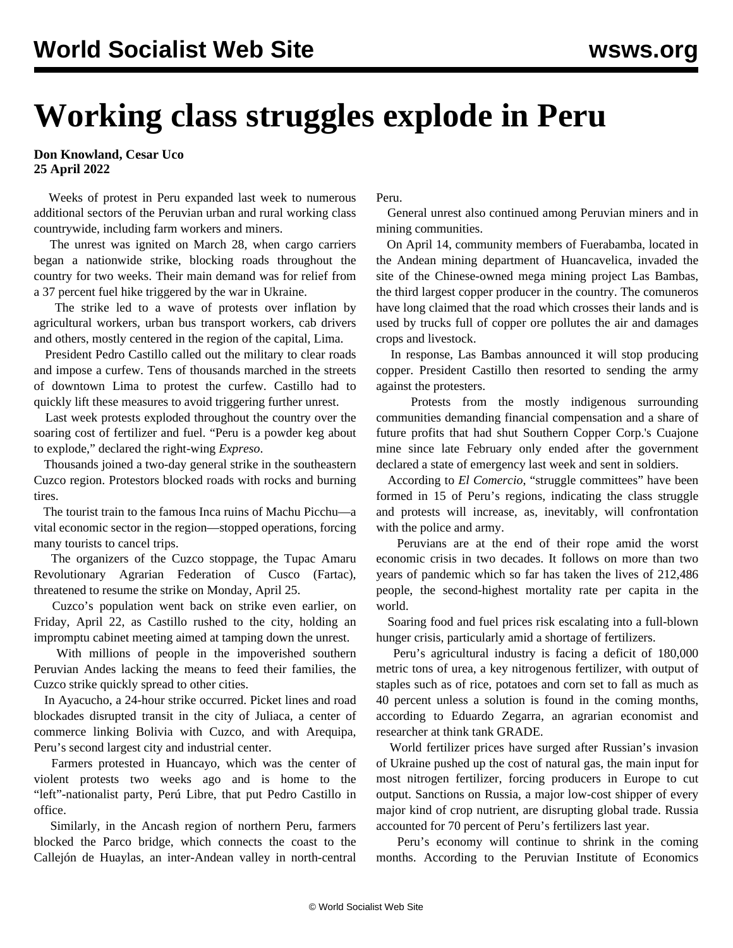## **Working class struggles explode in Peru**

**Don Knowland, Cesar Uco 25 April 2022**

 Weeks of protest in Peru expanded last week to numerous additional sectors of the Peruvian urban and rural working class countrywide, including farm workers and miners.

 The unrest was ignited on March 28, when cargo carriers began a nationwide strike, blocking roads throughout the country for two weeks. Their main demand was for relief from a 37 percent fuel hike triggered by the war in Ukraine.

 The strike led to a wave of protests over inflation by agricultural workers, urban bus transport workers, cab drivers and others, mostly centered in the region of the capital, Lima.

 President Pedro Castillo called out the military to clear roads and impose a curfew. Tens of thousands marched in the streets of downtown Lima to protest the curfew. Castillo had to quickly lift these measures to avoid triggering further unrest.

 Last week protests exploded throughout the country over the soaring cost of fertilizer and fuel. "Peru is a powder keg about to explode," declared the right-wing *Expreso*.

 Thousands joined a two-day general strike in the southeastern Cuzco region. Protestors blocked roads with rocks and burning tires.

 The tourist train to the famous Inca ruins of Machu Picchu—a vital economic sector in the region—stopped operations, forcing many tourists to cancel trips.

 The organizers of the Cuzco stoppage, the Tupac Amaru Revolutionary Agrarian Federation of Cusco (Fartac), threatened to resume the strike on Monday, April 25.

 Cuzco's population went back on strike even earlier, on Friday, April 22, as Castillo rushed to the city, holding an impromptu cabinet meeting aimed at tamping down the unrest.

 With millions of people in the impoverished southern Peruvian Andes lacking the means to feed their families, the Cuzco strike quickly spread to other cities.

 In Ayacucho, a 24-hour strike occurred. Picket lines and road blockades disrupted transit in the city of Juliaca, a center of commerce linking Bolivia with Cuzco, and with Arequipa, Peru's second largest city and industrial center.

 Farmers protested in Huancayo, which was the center of violent protests two weeks ago and is home to the "left"-nationalist party, Perú Libre, that put Pedro Castillo in office.

 Similarly, in the Ancash region of northern Peru, farmers blocked the Parco bridge, which connects the coast to the Callejón de Huaylas, an inter-Andean valley in north-central Peru.

 General unrest also continued among Peruvian miners and in mining communities.

 On April 14, community members of Fuerabamba, located in the Andean mining department of Huancavelica, invaded the site of the Chinese-owned mega mining project Las Bambas, the third largest copper producer in the country. The comuneros have long claimed that the road which crosses their lands and is used by trucks full of copper ore pollutes the air and damages crops and livestock.

 In response, Las Bambas announced it will stop producing copper. President Castillo then resorted to sending the army against the protesters.

 Protests from the mostly indigenous surrounding communities demanding financial compensation and a share of future profits that had shut Southern Copper Corp.'s Cuajone mine since late February only ended after the government declared a state of emergency last week and sent in soldiers.

According to *El Comercio*, "struggle committees" have been formed in 15 of Peru's regions, indicating the class struggle and protests will increase, as, inevitably, will confrontation with the police and army.

 Peruvians are at the end of their rope amid the worst economic crisis in two decades. It follows on more than two years of pandemic which so far has taken the lives of 212,486 people, the second-highest mortality rate per capita in the world.

 Soaring food and fuel prices risk escalating into a full-blown hunger crisis, particularly amid a shortage of fertilizers.

 Peru's agricultural industry is facing a deficit of 180,000 metric tons of urea, a key nitrogenous fertilizer, with output of staples such as of rice, potatoes and corn set to fall as much as 40 percent unless a solution is found in the coming months, according to Eduardo Zegarra, an agrarian economist and researcher at think tank GRADE.

 World fertilizer prices have surged after Russian's invasion of Ukraine pushed up the cost of natural gas, the main input for most nitrogen fertilizer, forcing producers in Europe to cut output. Sanctions on Russia, a major low-cost shipper of every major kind of crop nutrient, are disrupting global trade. Russia accounted for 70 percent of Peru's fertilizers last year.

 Peru's economy will continue to shrink in the coming months. According to the Peruvian Institute of Economics